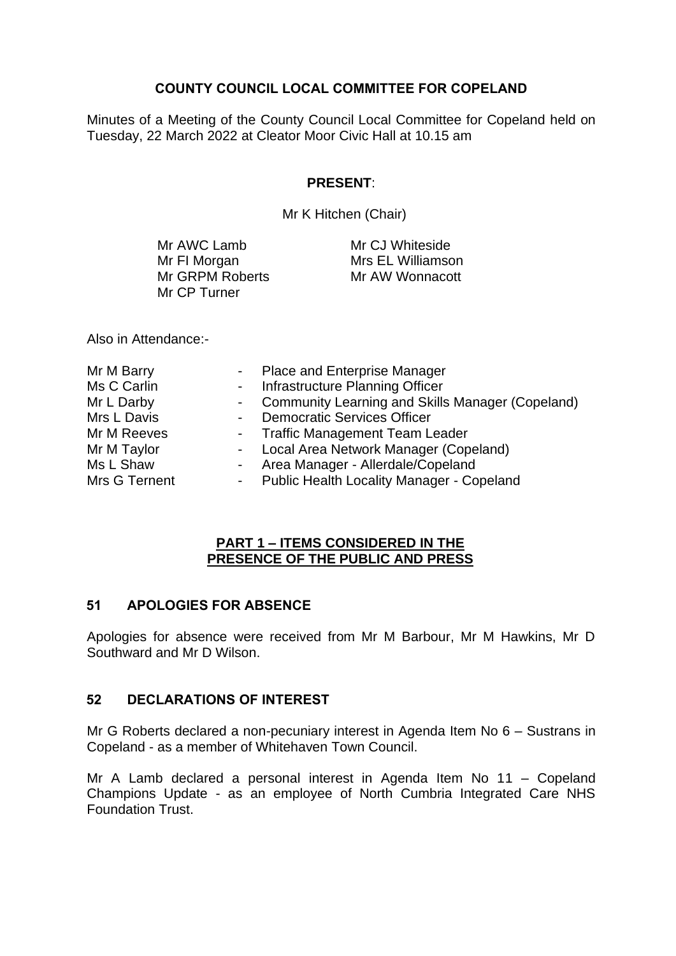# **COUNTY COUNCIL LOCAL COMMITTEE FOR COPELAND**

Minutes of a Meeting of the County Council Local Committee for Copeland held on Tuesday, 22 March 2022 at Cleator Moor Civic Hall at 10.15 am

# **PRESENT**:

Mr K Hitchen (Chair)

| Mr AWC Lamb     | Mr CJ Whiteside   |
|-----------------|-------------------|
| Mr FI Morgan    | Mrs EL Williamson |
| Mr GRPM Roberts | Mr AW Wonnacott   |
| Mr CP Turner    |                   |

Also in Attendance:-

| Mr M Barry    | - Place and Enterprise Manager                     |
|---------------|----------------------------------------------------|
| Ms C Carlin   | - Infrastructure Planning Officer                  |
| Mr L Darby    | - Community Learning and Skills Manager (Copeland) |
| Mrs L Davis   | - Democratic Services Officer                      |
| Mr M Reeves   | - Traffic Management Team Leader                   |
| Mr M Taylor   | - Local Area Network Manager (Copeland)            |
| Ms L Shaw     | - Area Manager - Allerdale/Copeland                |
| Mrs G Ternent | - Public Health Locality Manager - Copeland        |

#### **PART 1 – ITEMS CONSIDERED IN THE PRESENCE OF THE PUBLIC AND PRESS**

### **51 APOLOGIES FOR ABSENCE**

Apologies for absence were received from Mr M Barbour, Mr M Hawkins, Mr D Southward and Mr D Wilson.

# **52 DECLARATIONS OF INTEREST**

Mr G Roberts declared a non-pecuniary interest in Agenda Item No 6 – Sustrans in Copeland - as a member of Whitehaven Town Council.

Mr A Lamb declared a personal interest in Agenda Item No 11 – Copeland Champions Update - as an employee of North Cumbria Integrated Care NHS Foundation Trust.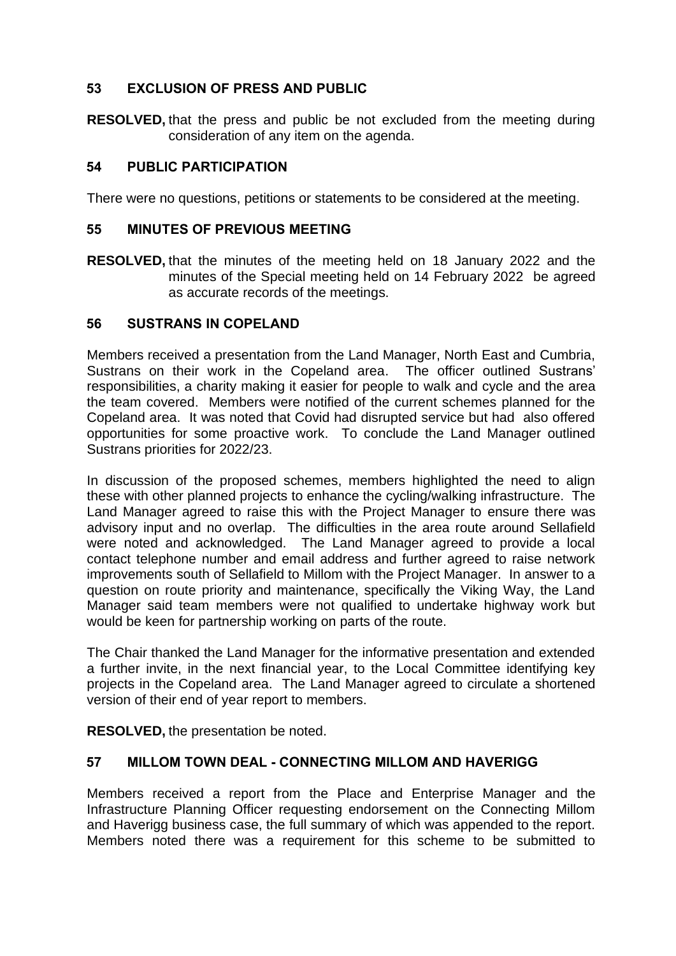# **53 EXCLUSION OF PRESS AND PUBLIC**

**RESOLVED,** that the press and public be not excluded from the meeting during consideration of any item on the agenda.

### **54 PUBLIC PARTICIPATION**

There were no questions, petitions or statements to be considered at the meeting.

#### **55 MINUTES OF PREVIOUS MEETING**

**RESOLVED,** that the minutes of the meeting held on 18 January 2022 and the minutes of the Special meeting held on 14 February 2022 be agreed as accurate records of the meetings.

#### **56 SUSTRANS IN COPELAND**

Members received a presentation from the Land Manager, North East and Cumbria, Sustrans on their work in the Copeland area. The officer outlined Sustrans' responsibilities, a charity making it easier for people to walk and cycle and the area the team covered. Members were notified of the current schemes planned for the Copeland area. It was noted that Covid had disrupted service but had also offered opportunities for some proactive work. To conclude the Land Manager outlined Sustrans priorities for 2022/23.

In discussion of the proposed schemes, members highlighted the need to align these with other planned projects to enhance the cycling/walking infrastructure. The Land Manager agreed to raise this with the Project Manager to ensure there was advisory input and no overlap. The difficulties in the area route around Sellafield were noted and acknowledged. The Land Manager agreed to provide a local contact telephone number and email address and further agreed to raise network improvements south of Sellafield to Millom with the Project Manager. In answer to a question on route priority and maintenance, specifically the Viking Way, the Land Manager said team members were not qualified to undertake highway work but would be keen for partnership working on parts of the route.

The Chair thanked the Land Manager for the informative presentation and extended a further invite, in the next financial year, to the Local Committee identifying key projects in the Copeland area. The Land Manager agreed to circulate a shortened version of their end of year report to members.

**RESOLVED,** the presentation be noted.

### **57 MILLOM TOWN DEAL - CONNECTING MILLOM AND HAVERIGG**

Members received a report from the Place and Enterprise Manager and the Infrastructure Planning Officer requesting endorsement on the Connecting Millom and Haverigg business case, the full summary of which was appended to the report. Members noted there was a requirement for this scheme to be submitted to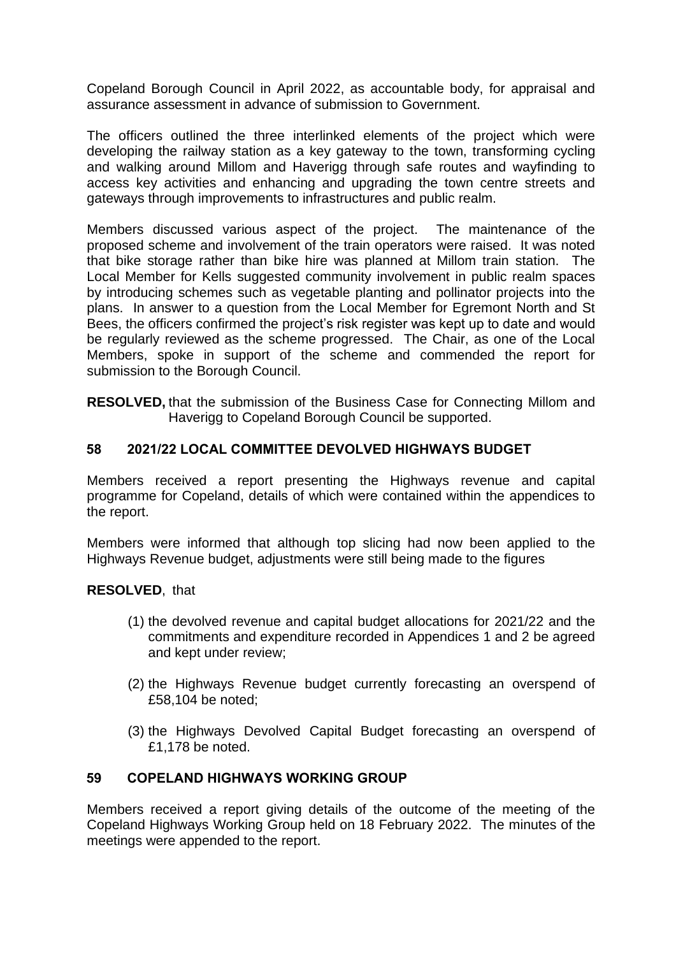Copeland Borough Council in April 2022, as accountable body, for appraisal and assurance assessment in advance of submission to Government.

The officers outlined the three interlinked elements of the project which were developing the railway station as a key gateway to the town, transforming cycling and walking around Millom and Haverigg through safe routes and wayfinding to access key activities and enhancing and upgrading the town centre streets and gateways through improvements to infrastructures and public realm.

Members discussed various aspect of the project. The maintenance of the proposed scheme and involvement of the train operators were raised. It was noted that bike storage rather than bike hire was planned at Millom train station. The Local Member for Kells suggested community involvement in public realm spaces by introducing schemes such as vegetable planting and pollinator projects into the plans. In answer to a question from the Local Member for Egremont North and St Bees, the officers confirmed the project's risk register was kept up to date and would be regularly reviewed as the scheme progressed. The Chair, as one of the Local Members, spoke in support of the scheme and commended the report for submission to the Borough Council.

**RESOLVED,** that the submission of the Business Case for Connecting Millom and Haverigg to Copeland Borough Council be supported.

# **58 2021/22 LOCAL COMMITTEE DEVOLVED HIGHWAYS BUDGET**

Members received a report presenting the Highways revenue and capital programme for Copeland, details of which were contained within the appendices to the report.

Members were informed that although top slicing had now been applied to the Highways Revenue budget, adjustments were still being made to the figures

### **RESOLVED**, that

- (1) the devolved revenue and capital budget allocations for 2021/22 and the commitments and expenditure recorded in Appendices 1 and 2 be agreed and kept under review;
- (2) the Highways Revenue budget currently forecasting an overspend of £58,104 be noted;
- (3) the Highways Devolved Capital Budget forecasting an overspend of £1,178 be noted.

### **59 COPELAND HIGHWAYS WORKING GROUP**

Members received a report giving details of the outcome of the meeting of the Copeland Highways Working Group held on 18 February 2022. The minutes of the meetings were appended to the report.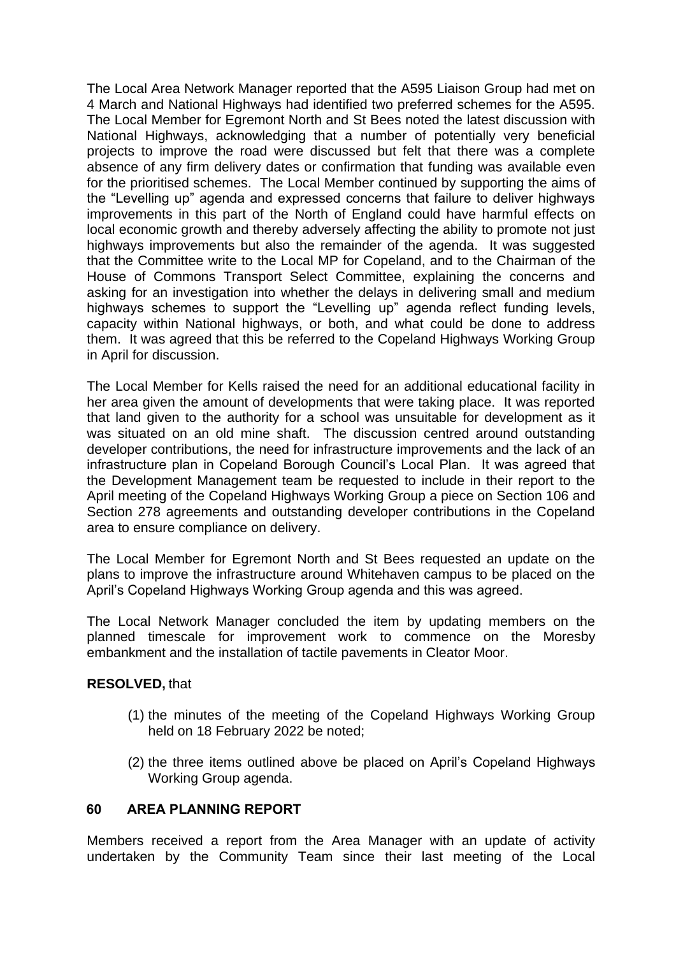The Local Area Network Manager reported that the A595 Liaison Group had met on 4 March and National Highways had identified two preferred schemes for the A595. The Local Member for Egremont North and St Bees noted the latest discussion with National Highways, acknowledging that a number of potentially very beneficial projects to improve the road were discussed but felt that there was a complete absence of any firm delivery dates or confirmation that funding was available even for the prioritised schemes. The Local Member continued by supporting the aims of the "Levelling up" agenda and expressed concerns that failure to deliver highways improvements in this part of the North of England could have harmful effects on local economic growth and thereby adversely affecting the ability to promote not just highways improvements but also the remainder of the agenda. It was suggested that the Committee write to the Local MP for Copeland, and to the Chairman of the House of Commons Transport Select Committee, explaining the concerns and asking for an investigation into whether the delays in delivering small and medium highways schemes to support the "Levelling up" agenda reflect funding levels, capacity within National highways, or both, and what could be done to address them. It was agreed that this be referred to the Copeland Highways Working Group in April for discussion.

The Local Member for Kells raised the need for an additional educational facility in her area given the amount of developments that were taking place. It was reported that land given to the authority for a school was unsuitable for development as it was situated on an old mine shaft. The discussion centred around outstanding developer contributions, the need for infrastructure improvements and the lack of an infrastructure plan in Copeland Borough Council's Local Plan. It was agreed that the Development Management team be requested to include in their report to the April meeting of the Copeland Highways Working Group a piece on Section 106 and Section 278 agreements and outstanding developer contributions in the Copeland area to ensure compliance on delivery.

The Local Member for Egremont North and St Bees requested an update on the plans to improve the infrastructure around Whitehaven campus to be placed on the April's Copeland Highways Working Group agenda and this was agreed.

The Local Network Manager concluded the item by updating members on the planned timescale for improvement work to commence on the Moresby embankment and the installation of tactile pavements in Cleator Moor.

### **RESOLVED,** that

- (1) the minutes of the meeting of the Copeland Highways Working Group held on 18 February 2022 be noted;
- (2) the three items outlined above be placed on April's Copeland Highways Working Group agenda.

### **60 AREA PLANNING REPORT**

Members received a report from the Area Manager with an update of activity undertaken by the Community Team since their last meeting of the Local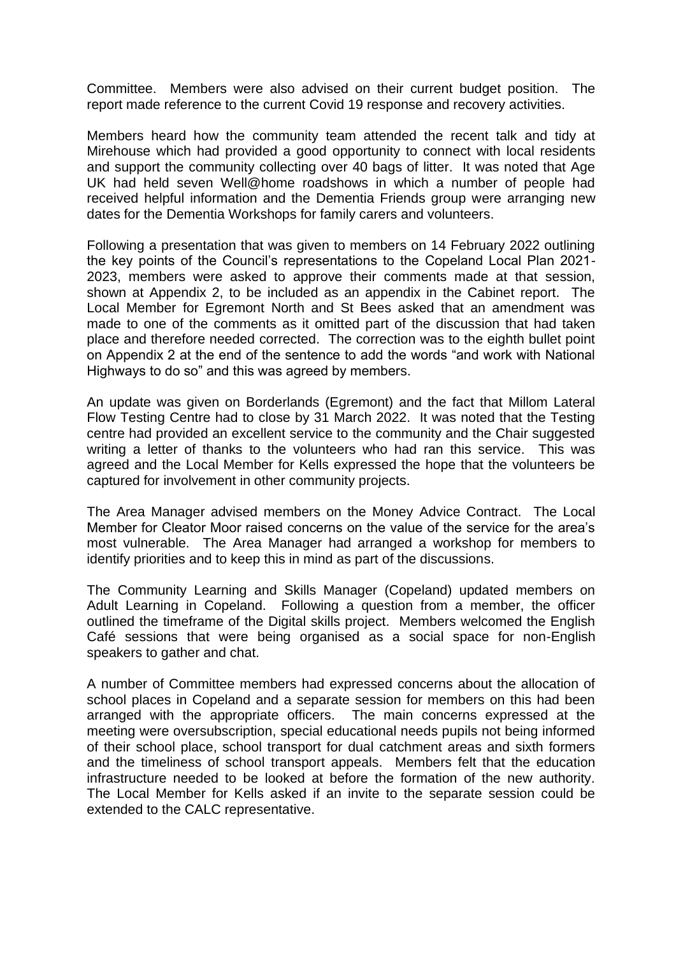Committee. Members were also advised on their current budget position. The report made reference to the current Covid 19 response and recovery activities.

Members heard how the community team attended the recent talk and tidy at Mirehouse which had provided a good opportunity to connect with local residents and support the community collecting over 40 bags of litter. It was noted that Age UK had held seven Well@home roadshows in which a number of people had received helpful information and the Dementia Friends group were arranging new dates for the Dementia Workshops for family carers and volunteers.

Following a presentation that was given to members on 14 February 2022 outlining the key points of the Council's representations to the Copeland Local Plan 2021- 2023, members were asked to approve their comments made at that session, shown at Appendix 2, to be included as an appendix in the Cabinet report. The Local Member for Egremont North and St Bees asked that an amendment was made to one of the comments as it omitted part of the discussion that had taken place and therefore needed corrected. The correction was to the eighth bullet point on Appendix 2 at the end of the sentence to add the words "and work with National Highways to do so" and this was agreed by members.

An update was given on Borderlands (Egremont) and the fact that Millom Lateral Flow Testing Centre had to close by 31 March 2022. It was noted that the Testing centre had provided an excellent service to the community and the Chair suggested writing a letter of thanks to the volunteers who had ran this service. This was agreed and the Local Member for Kells expressed the hope that the volunteers be captured for involvement in other community projects.

The Area Manager advised members on the Money Advice Contract. The Local Member for Cleator Moor raised concerns on the value of the service for the area's most vulnerable. The Area Manager had arranged a workshop for members to identify priorities and to keep this in mind as part of the discussions.

The Community Learning and Skills Manager (Copeland) updated members on Adult Learning in Copeland. Following a question from a member, the officer outlined the timeframe of the Digital skills project. Members welcomed the English Café sessions that were being organised as a social space for non-English speakers to gather and chat.

A number of Committee members had expressed concerns about the allocation of school places in Copeland and a separate session for members on this had been arranged with the appropriate officers. The main concerns expressed at the meeting were oversubscription, special educational needs pupils not being informed of their school place, school transport for dual catchment areas and sixth formers and the timeliness of school transport appeals. Members felt that the education infrastructure needed to be looked at before the formation of the new authority. The Local Member for Kells asked if an invite to the separate session could be extended to the CALC representative.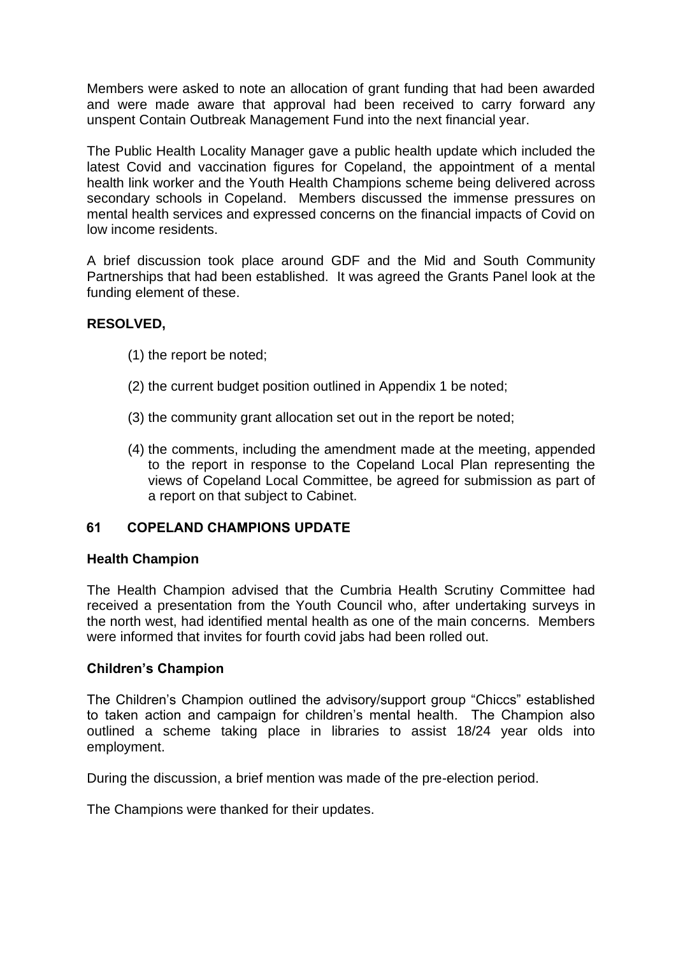Members were asked to note an allocation of grant funding that had been awarded and were made aware that approval had been received to carry forward any unspent Contain Outbreak Management Fund into the next financial year.

The Public Health Locality Manager gave a public health update which included the latest Covid and vaccination figures for Copeland, the appointment of a mental health link worker and the Youth Health Champions scheme being delivered across secondary schools in Copeland. Members discussed the immense pressures on mental health services and expressed concerns on the financial impacts of Covid on low income residents.

A brief discussion took place around GDF and the Mid and South Community Partnerships that had been established. It was agreed the Grants Panel look at the funding element of these.

### **RESOLVED,**

- (1) the report be noted;
- (2) the current budget position outlined in Appendix 1 be noted;
- (3) the community grant allocation set out in the report be noted;
- (4) the comments, including the amendment made at the meeting, appended to the report in response to the Copeland Local Plan representing the views of Copeland Local Committee, be agreed for submission as part of a report on that subject to Cabinet.

# **61 COPELAND CHAMPIONS UPDATE**

### **Health Champion**

The Health Champion advised that the Cumbria Health Scrutiny Committee had received a presentation from the Youth Council who, after undertaking surveys in the north west, had identified mental health as one of the main concerns. Members were informed that invites for fourth covid jabs had been rolled out.

### **Children's Champion**

The Children's Champion outlined the advisory/support group "Chiccs" established to taken action and campaign for children's mental health. The Champion also outlined a scheme taking place in libraries to assist 18/24 year olds into employment.

During the discussion, a brief mention was made of the pre-election period.

The Champions were thanked for their updates.